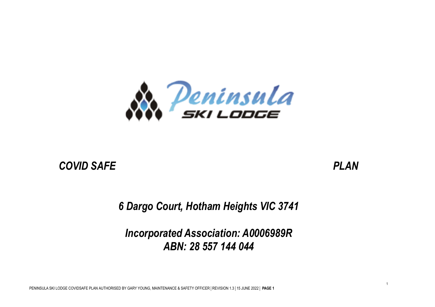

# *COVID SAFE PLAN*

*6 Dargo Court, Hotham Heights VIC 3741*

*Incorporated Association: A0006989R ABN: 28 557 144 044*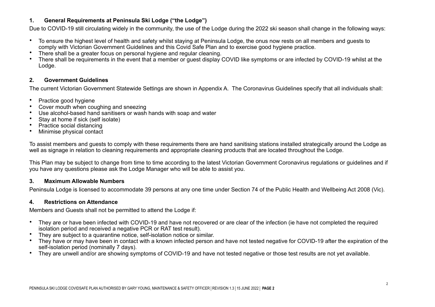## **1. General Requirements at Peninsula Ski Lodge ("the Lodge")**

Due to COVID-19 still circulating widely in the community, the use of the Lodge during the 2022 ski season shall change in the following ways:

- To ensure the highest level of health and safety whilst staying at Peninsula Lodge, the onus now rests on all members and guests to comply with Victorian Government Guidelines and this Covid Safe Plan and to exercise good hygiene practice.
- There shall be a greater focus on personal hygiene and regular cleaning.
- There shall be requirements in the event that a member or guest display COVID like symptoms or are infected by COVID-19 whilst at the Lodge.

## **2. Government Guidelines**

The current Victorian Government Statewide Settings are shown in Appendix A. The Coronavirus Guidelines specify that all individuals shall:

- Practice good hygiene
- Cover mouth when coughing and sneezing
- Use alcohol-based hand sanitisers or wash hands with soap and water
- Stay at home if sick (self isolate)
- Practice social distancing
- Minimise physical contact

To assist members and guests to comply with these requirements there are hand sanitising stations installed strategically around the Lodge as well as signage in relation to cleaning requirements and appropriate cleaning products that are located throughout the Lodge.

This Plan may be subject to change from time to time according to the latest Victorian Government Coronavirus regulations or guidelines and if you have any questions please ask the Lodge Manager who will be able to assist you.

## **3. Maximum Allowable Numbers**

Peninsula Lodge is licensed to accommodate 39 persons at any one time under Section 74 of the Public Health and Wellbeing Act 2008 (Vic).

### **4. Restrictions on Attendance**

Members and Guests shall not be permitted to attend the Lodge if:

- They are or have been infected with COVID-19 and have not recovered or are clear of the infection (ie have not completed the required isolation period and received a negative PCR or RAT test result).
- They are subject to a quarantine notice, self-isolation notice or similar.
- They have or may have been in contact with a known infected person and have not tested negative for COVID-19 after the expiration of the self-isolation period (nominally 7 days).
- They are unwell and/or are showing symptoms of COVID-19 and have not tested negative or those test results are not yet available.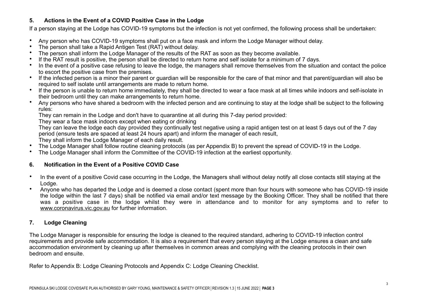## **5. Actions in the Event of a COVID Positive Case in the Lodge**

If a person staying at the Lodge has COVID-19 symptoms but the infection is not yet confirmed, the following process shall be undertaken:

- Any person who has COVID-19 symptoms shall put on a face mask and inform the Lodge Manager without delay.
- The person shall take a Rapid Antigen Test (RAT) without delay.
- The person shall inform the Lodge Manager of the results of the RAT as soon as they become available.
- If the RAT result is positive, the person shall be directed to return home and self isolate for a minimum of 7 days.
- In the event of a positive case refusing to leave the lodge, the managers shall remove themselves from the situation and contact the police to escort the positive case from the premises.
- If the infected person is a minor their parent or guardian will be responsible for the care of that minor and that parent/guardian will also be required to self isolate until arrangements are made to return home.
- If the person is unable to return home immediately, they shall be directed to wear a face mask at all times while indoors and self-isolate in their bedroom until they can make arrangements to return home.
- Any persons who have shared a bedroom with the infected person and are continuing to stay at the lodge shall be subject to the following rules:

They can remain in the Lodge and don't have to quarantine at all during this 7-day period provided:

They wear a face mask indoors except when eating or drinking

 They can leave the lodge each day provided they continually test negative using a rapid antigen test on at least 5 days out of the 7 day period (ensure tests are spaced at least 24 hours apart) and inform the manager of each result,

They shall inform the Lodge Manager of each daily result.

- The Lodge Manager shall follow routine cleaning protocols (as per Appendix B) to prevent the spread of COVID-19 in the Lodge.
- The Lodge Manager shall inform the Committee of the COVID-19 infection at the earliest opportunity.

## **6. Notification in the Event of a Positive COVID Case**

- In the event of a positive Covid case occurring in the Lodge, the Managers shall without delay notify all close contacts still staying at the Lodge.
- Anyone who has departed the Lodge and is deemed a close contact (spent more than four hours with someone who has COVID-19 inside the lodge within the last 7 days) shall be notified via email and/or text message by the Booking Officer. They shall be notified that there was a positive case in the lodge whilst they were in attendance and to monitor for any symptoms and to refer to [www.coronavirus.vic.gov.au](http://www.coronavirus.vic.gov.au) for further information.

## **7. Lodge Cleaning**

The Lodge Manager is responsible for ensuring the lodge is cleaned to the required standard, adhering to COVID-19 infection control requirements and provide safe accommodation. It is also a requirement that every person staying at the Lodge ensures a clean and safe accommodation environment by cleaning up after themselves in common areas and complying with the cleaning protocols in their own bedroom and ensuite.

Refer to Appendix B: Lodge Cleaning Protocols and Appendix C: Lodge Cleaning Checklist.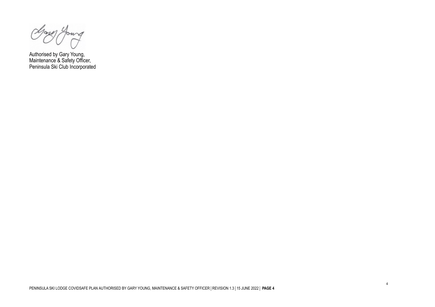ows

Authorised by Gary Young, Maintenance & Safety Officer, Peninsula Ski Club Incorporated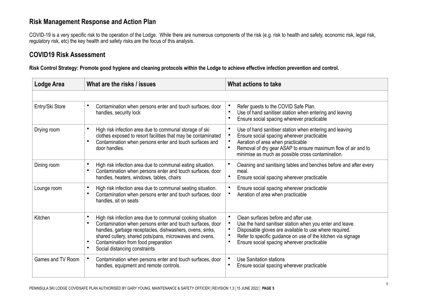# **Risk Management Response and Action Plan**

COVID-19 is a very specific risk to the operation of the Lodge. While there are numerous components of the risk (e.g. risk to health and safety, economic risk, legal risk, regulatory risk, etc) the key health and safety risks are the focus of this analysis.

# **COVID19 Risk Assessment**

**Risk Control Strategy: Promote good hygiene and cleaning protocols within the Lodge to achieve effective infection prevention and control.**

| Lodge Area        | What are the risks / issues                                                                                                                                                                                                                                                                                            | What actions to take                                                                                                                                                                                                                                                                                            |
|-------------------|------------------------------------------------------------------------------------------------------------------------------------------------------------------------------------------------------------------------------------------------------------------------------------------------------------------------|-----------------------------------------------------------------------------------------------------------------------------------------------------------------------------------------------------------------------------------------------------------------------------------------------------------------|
|                   |                                                                                                                                                                                                                                                                                                                        |                                                                                                                                                                                                                                                                                                                 |
| Entry/Ski Store   | Contamination when persons enter and touch surfaces, door<br>handles, security lock                                                                                                                                                                                                                                    | Refer guests to the COVID Safe Plan.<br>$\bullet$<br>Use of hand sanitiser station when entering and leaving<br>Ensure social spacing wherever practicable<br>$\bullet$                                                                                                                                         |
| Drying room       | High risk infection area due to communal storage of ski<br>clothes exposed to resort facilities that may be contaminated<br>Contamination when persons enter and touch surfaces and<br>door handles.                                                                                                                   | Use of hand sanitiser station when entering and leaving<br>$\bullet$<br>Ensure social spacing wherever practicable<br>$\bullet$<br>Aeration of area when practicable<br>Removal of dry gear ASAP to ensure maximum flow of air and to<br>$\bullet$<br>minimise as much as possible cross contamination.         |
| Dining room       | High risk infection area due to communal eating situation.<br>Contamination when persons enter and touch surfaces, door<br>handles, heaters, windows, tables, chairs                                                                                                                                                   | Cleaning and sanitising tables and benches before and after every<br>meal.<br>$\bullet$<br>Ensure social spacing wherever practicable                                                                                                                                                                           |
| Lounge room       | High risk infection area due to communal seating situation.<br>Contamination when persons enter and touch surfaces, door<br>handles, sit on seats                                                                                                                                                                      | Ensure social spacing wherever practicable<br>Aeration of area when practicable<br>$\bullet$                                                                                                                                                                                                                    |
| Kitchen           | High risk infection area due to communal cooking situation<br>Contamination when persons enter and touch surfaces, door<br>handles, garbage receptacles, dishwashers, ovens, sinks,<br>shared cutlery, shared pots/pans, microwaves and ovens.<br>Contamination from food preparation<br>Social distancing constraints | Clean surfaces before and after use.<br>$\bullet$<br>$\bullet$<br>Use the hand sanitiser station when you enter and leave.<br>Disposable gloves are available to use where required.<br>Refer to specific guidance on use of the kitchen via signage<br>$\bullet$<br>Ensure social spacing wherever practicable |
| Games and TV Room | Contamination when persons enter and touch surfaces, door<br>handles, equipment and remote controls.                                                                                                                                                                                                                   | Use Sanitation stations<br>$\bullet$<br>Ensure social spacing wherever practicable                                                                                                                                                                                                                              |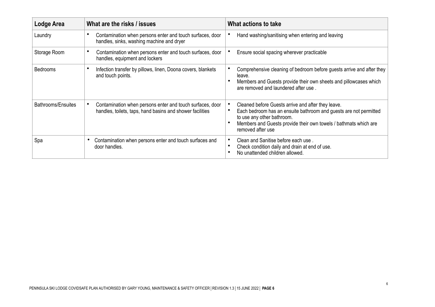| <b>Lodge Area</b>  | What are the risks / issues                                                                                            | What actions to take                                                                                                                                                                                                                           |
|--------------------|------------------------------------------------------------------------------------------------------------------------|------------------------------------------------------------------------------------------------------------------------------------------------------------------------------------------------------------------------------------------------|
| Laundry            | Contamination when persons enter and touch surfaces, door<br>handles, sinks, washing machine and dryer                 | Hand washing/sanitising when entering and leaving                                                                                                                                                                                              |
| Storage Room       | Contamination when persons enter and touch surfaces, door<br>handles, equipment and lockers                            | Ensure social spacing wherever practicable                                                                                                                                                                                                     |
| <b>Bedrooms</b>    | Infection transfer by pillows, linen, Doona covers, blankets<br>and touch points.                                      | Comprehensive cleaning of bedroom before guests arrive and after they<br>leave.<br>Members and Guests provide their own sheets and pillowcases which<br>are removed and laundered after use.                                                   |
| Bathrooms/Ensuites | Contamination when persons enter and touch surfaces, door<br>handles, toilets, taps, hand basins and shower facilities | Cleaned before Guests arrive and after they leave.<br>Each bedroom has an ensuite bathroom and guests are not permitted<br>to use any other bathroom.<br>Members and Guests provide their own towels / bathmats which are<br>removed after use |
| Spa                | Contamination when persons enter and touch surfaces and<br>door handles.                                               | Clean and Sanitise before each use.<br>Check condition daily and drain at end of use.<br>No unattended children allowed.                                                                                                                       |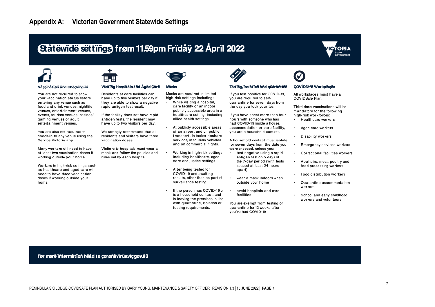# Ståtëwidë sëttings frøm 11.59pm Fridåy 22 Åpril 2022





#### Våççïñåtïøñ åñd Çhëçkïñg-ïñ

You are not required to show your vaccination status before entering any venue such as food and drink venues, nightlife venues, entertainment venues, events, tourism venues, casinos/ gaming venues or adult entertainment venues.

You are also not required to check-in to any venue using the Service Victoria app.

Many workers will need to have at least two vaccination doses if working outside your home.

Workers in high-risk settings such as healthcare and aged care will need to have three vaccination doses if working outside your home.



#### Visitiña Høspitåls åñd Åged Cåre

Residents at care facilities can have up to five visitors per day if they are able to show a negative rapid antigen test result.

If the facility does not have rapid antigen tests, the resident may have up to two visitors per day.

We strongly recommend that all residents and visitors have three vaccination doses.

Visitors to hospitals must wear a mask and follow the policies and rules set by each hospital.

> After being tested for  $\bullet$ COVID-19 and awaiting results, other than as part of surveillance testing.

Masks are required in limited

While visiting a hospital,

allied health settings.

care facility or an indoor

publicly accessible area in a

healthcare setting, including

At publicly accessible areas

of an airport and on public

transport, in taxis/rideshare

services, in tourism vehicles

Working in high-risk settings

including healthcare, aged

care and justice settings.

and on commercial flights.

high-risk settings including:

**Måsks** 

 $\bullet$ 

 $\bullet$ 

 $\cdot$ If the person has COVID-19 or is a household contact, and is leaving the premises in line with quarantine, isolation or testing requirements.



#### Tëstïña, ïsølåtïøñ åñd güåråñtïñë

If you test positive for COVID-19, you are required to selfquarantine for seven days from the day you took your test.

If you have spent more than four hours with someone who has had COVID-19 inside a house, accommodation or care facility, you are a household contact.

A household contact must isolate for seven days from the date you were exposed, unless you:

- test negative using a rapid antigen test on 5 days of the 7-day period (with tests spaced at least 24 hours apart)
- $\cdot$ wear a mask indoors when outside your home
- avoid hospitals and care facilities

You are exempt from testing or quarantine for 12 weeks after vou've had COVID-19.

# CØVÏDSåfë Wørkplåcës

All workplaces must have a COVIDSafe Plan.

Third dose vaccinations will be mandatory for the following high-risk workforces:

- Healthcare workers
- Aged care workers
- Disability workers
- Emergency services workers
- Correctional facilities workers  $\bullet$
- $\bullet$ Abattoirs, meat, poultry and food processing workers
- Food distribution workers
- $\bullet$ Quarantine accommodation workers
- School and early childhood  $\cdot$ workers and volunteers

Før mørë inførmåtiøn hëåd tø çørønåvirüsviç.gøv.åü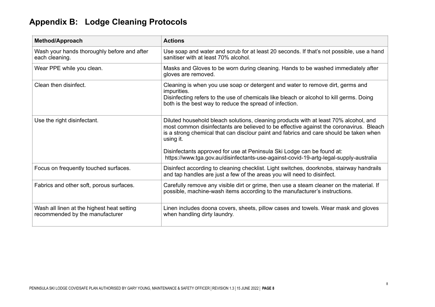# **Appendix B: Lodge Cleaning Protocols**

| <b>Method/Approach</b>                                                        | <b>Actions</b>                                                                                                                                                                                                                                                                                                                                                                                                                                           |  |
|-------------------------------------------------------------------------------|----------------------------------------------------------------------------------------------------------------------------------------------------------------------------------------------------------------------------------------------------------------------------------------------------------------------------------------------------------------------------------------------------------------------------------------------------------|--|
| Wash your hands thoroughly before and after<br>each cleaning.                 | Use soap and water and scrub for at least 20 seconds. If that's not possible, use a hand<br>sanitiser with at least 70% alcohol.                                                                                                                                                                                                                                                                                                                         |  |
| Wear PPE while you clean.                                                     | Masks and Gloves to be worn during cleaning. Hands to be washed immediately after<br>gloves are removed.                                                                                                                                                                                                                                                                                                                                                 |  |
| Clean then disinfect.                                                         | Cleaning is when you use soap or detergent and water to remove dirt, germs and<br>impurities.<br>Disinfecting refers to the use of chemicals like bleach or alcohol to kill germs. Doing<br>both is the best way to reduce the spread of infection.                                                                                                                                                                                                      |  |
| Use the right disinfectant.                                                   | Diluted household bleach solutions, cleaning products with at least 70% alcohol, and<br>most common disinfectants are believed to be effective against the coronavirus. Bleach<br>is a strong chemical that can disclour paint and fabrics and care should be taken when<br>using it.<br>Disinfectants approved for use at Peninsula Ski Lodge can be found at:<br>https://www.tga.gov.au/disinfectants-use-against-covid-19-artg-legal-supply-australia |  |
| Focus on frequently touched surfaces.                                         | Disinfect according to cleaning checklist. Light switches, doorknobs, stairway handrails<br>and tap handles are just a few of the areas you will need to disinfect.                                                                                                                                                                                                                                                                                      |  |
| Fabrics and other soft, porous surfaces.                                      | Carefully remove any visible dirt or grime, then use a steam cleaner on the material. If<br>possible, machine-wash items according to the manufacturer's instructions.                                                                                                                                                                                                                                                                                   |  |
| Wash all linen at the highest heat setting<br>recommended by the manufacturer | Linen includes doona covers, sheets, pillow cases and towels. Wear mask and gloves<br>when handling dirty laundry.                                                                                                                                                                                                                                                                                                                                       |  |